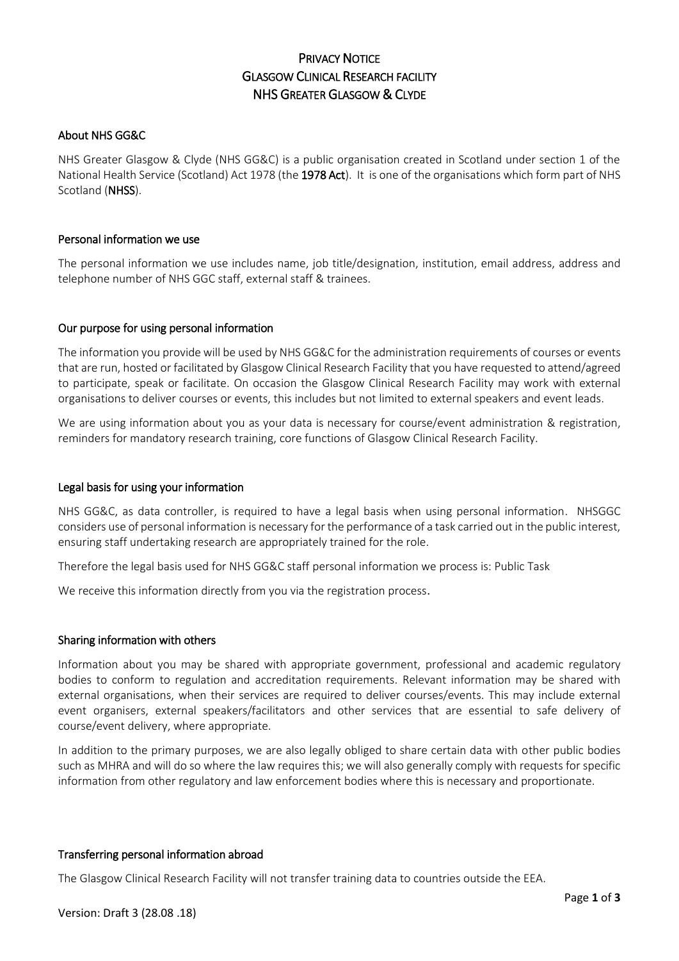# PRIVACY NOTICE GLASGOW CLINICAL RESEARCH FACILITY NHS GREATER GLASGOW & CLYDE

## About NHS GG&C

NHS Greater Glasgow & Clyde (NHS GG&C) is a public organisation created in Scotland under section 1 of the National Health Service (Scotland) Act 1978 (the 1978 Act). It is one of the organisations which form part of NHS Scotland (NHSS).

## Personal information we use

The personal information we use includes name, job title/designation, institution, email address, address and telephone number of NHS GGC staff, external staff & trainees.

### Our purpose for using personal information

The information you provide will be used by NHS GG&C for the administration requirements of courses or events that are run, hosted or facilitated by Glasgow Clinical Research Facility that you have requested to attend/agreed to participate, speak or facilitate. On occasion the Glasgow Clinical Research Facility may work with external organisations to deliver courses or events, this includes but not limited to external speakers and event leads.

We are using information about you as your data is necessary for course/event administration & registration, reminders for mandatory research training, core functions of Glasgow Clinical Research Facility.

### Legal basis for using your information

NHS GG&C, as data controller, is required to have a legal basis when using personal information. NHSGGC considers use of personal information is necessary for the performance of a task carried out in the public interest, ensuring staff undertaking research are appropriately trained for the role.

Therefore the legal basis used for NHS GG&C staff personal information we process is: Public Task

We receive this information directly from you via the registration process.

### Sharing information with others

Information about you may be shared with appropriate government, professional and academic regulatory bodies to conform to regulation and accreditation requirements. Relevant information may be shared with external organisations, when their services are required to deliver courses/events. This may include external event organisers, external speakers/facilitators and other services that are essential to safe delivery of course/event delivery, where appropriate.

In addition to the primary purposes, we are also legally obliged to share certain data with other public bodies such as MHRA and will do so where the law requires this; we will also generally comply with requests for specific information from other regulatory and law enforcement bodies where this is necessary and proportionate.

### Transferring personal information abroad

The Glasgow Clinical Research Facility will not transfer training data to countries outside the EEA.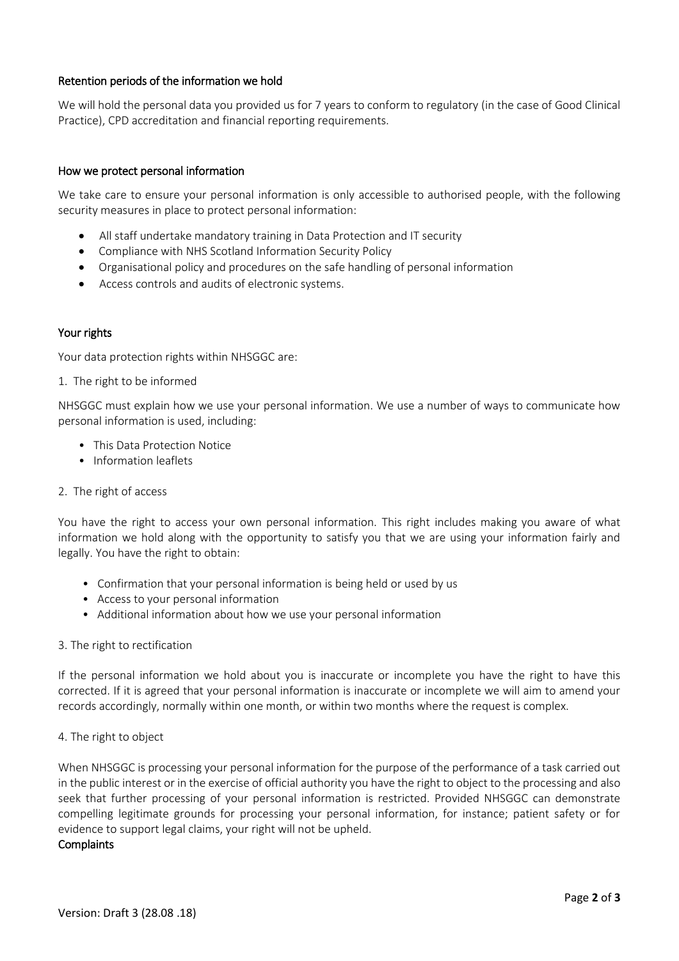# Retention periods of the information we hold

We will hold the personal data you provided us for 7 years to conform to regulatory (in the case of Good Clinical Practice), CPD accreditation and financial reporting requirements.

### How we protect personal information

We take care to ensure your personal information is only accessible to authorised people, with the following security measures in place to protect personal information:

- All staff undertake mandatory training in Data Protection and IT security
- Compliance with NHS Scotland Information Security Policy
- Organisational policy and procedures on the safe handling of personal information
- Access controls and audits of electronic systems.

### Your rights

Your data protection rights within NHSGGC are:

1. The right to be informed

NHSGGC must explain how we use your personal information. We use a number of ways to communicate how personal information is used, including:

- This Data Protection Notice
- Information leaflets
- 2. The right of access

You have the right to access your own personal information. This right includes making you aware of what information we hold along with the opportunity to satisfy you that we are using your information fairly and legally. You have the right to obtain:

- Confirmation that your personal information is being held or used by us
- Access to your personal information
- Additional information about how we use your personal information
- 3. The right to rectification

If the personal information we hold about you is inaccurate or incomplete you have the right to have this corrected. If it is agreed that your personal information is inaccurate or incomplete we will aim to amend your records accordingly, normally within one month, or within two months where the request is complex.

4. The right to object

When NHSGGC is processing your personal information for the purpose of the performance of a task carried out in the public interest or in the exercise of official authority you have the right to object to the processing and also seek that further processing of your personal information is restricted. Provided NHSGGC can demonstrate compelling legitimate grounds for processing your personal information, for instance; patient safety or for evidence to support legal claims, your right will not be upheld.

#### **Complaints**